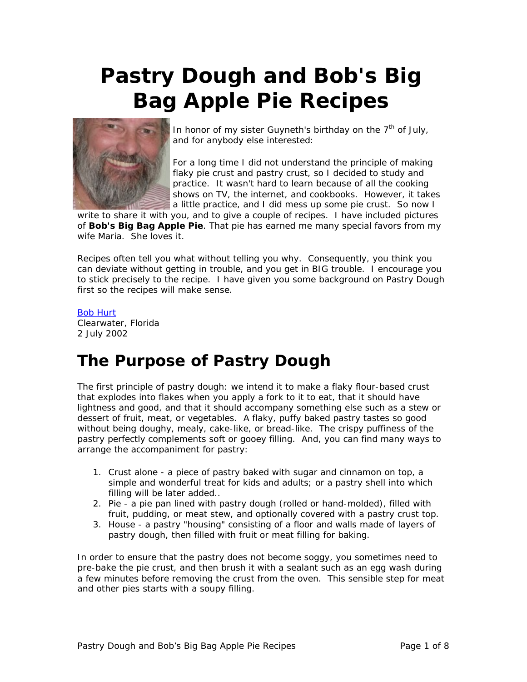# **Pastry Dough and Bob's Big Bag Apple Pie Recipes**



In honor of my sister Guyneth's birthday on the  $7<sup>th</sup>$  of July, and for anybody else interested:

For a long time I did not understand the principle of making flaky pie crust and pastry crust, so I decided to study and practice. It wasn't hard to learn because of all the cooking shows on TV, the internet, and cookbooks. However, it takes a little practice, and I did mess up some pie crust. So now I

write to share it with you, and to give a couple of recipes. I have included pictures of **Bob's Big Bag Apple Pie**. That pie has earned me many special favors from my wife Maria. She loves it.

Recipes often tell you what without telling you why. Consequently, you think you can deviate without getting in trouble, and you get in BIG trouble. I encourage you to stick precisely to the recipe. I have given you some background on Pastry Dough first so the recipes will make sense.

#### [Bob Hurt](http://bobhurt.com/)

Clearwater, Florida 2 July 2002

## **The Purpose of Pastry Dough**

The first principle of pastry dough: we intend it to make a flaky flour-based crust that explodes into flakes when you apply a fork to it to eat, that it should have lightness and good, and that it should accompany something else such as a stew or dessert of fruit, meat, or vegetables. A flaky, puffy baked pastry tastes so good without being doughy, mealy, cake-like, or bread-like. The crispy puffiness of the pastry perfectly complements soft or gooey filling. And, you can find many ways to arrange the accompaniment for pastry:

- 1. Crust alone a piece of pastry baked with sugar and cinnamon on top, a simple and wonderful treat for kids and adults; or a pastry shell into which filling will be later added..
- 2. Pie a pie pan lined with pastry dough (rolled or hand-molded), filled with fruit, pudding, or meat stew, and optionally covered with a pastry crust top.
- 3. House a pastry "housing" consisting of a floor and walls made of layers of pastry dough, then filled with fruit or meat filling for baking.

In order to ensure that the pastry does not become soggy, you sometimes need to pre-bake the pie crust, and then brush it with a sealant such as an egg wash during a few minutes before removing the crust from the oven. This sensible step for meat and other pies starts with a soupy filling.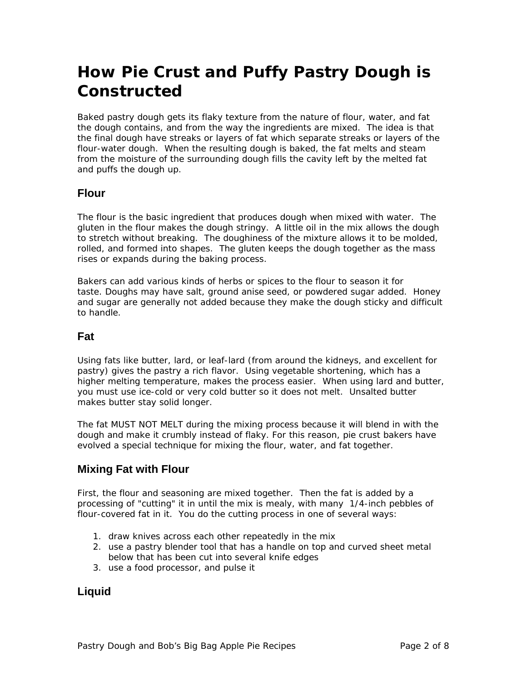## **How Pie Crust and Puffy Pastry Dough is Constructed**

Baked pastry dough gets its flaky texture from the nature of flour, water, and fat the dough contains, and from the way the ingredients are mixed. The idea is that the final dough have streaks or layers of fat which separate streaks or layers of the flour-water dough. When the resulting dough is baked, the fat melts and steam from the moisture of the surrounding dough fills the cavity left by the melted fat and puffs the dough up.

## **Flour**

The flour is the basic ingredient that produces dough when mixed with water. The gluten in the flour makes the dough stringy. A little oil in the mix allows the dough to stretch without breaking. The doughiness of the mixture allows it to be molded, rolled, and formed into shapes. The gluten keeps the dough together as the mass rises or expands during the baking process.

Bakers can add various kinds of herbs or spices to the flour to season it for taste. Doughs may have salt, ground anise seed, or powdered sugar added. Honey and sugar are generally not added because they make the dough sticky and difficult to handle.

### **Fat**

Using fats like butter, lard, or leaf-lard (from around the kidneys, and excellent for pastry) gives the pastry a rich flavor. Using vegetable shortening, which has a higher melting temperature, makes the process easier. When using lard and butter, you must use ice-cold or very cold butter so it does not melt. Unsalted butter makes butter stay solid longer.

The fat MUST NOT MELT during the mixing process because it will blend in with the dough and make it crumbly instead of flaky. For this reason, pie crust bakers have evolved a special technique for mixing the flour, water, and fat together.

## **Mixing Fat with Flour**

First, the flour and seasoning are mixed together. Then the fat is added by a processing of "cutting" it in until the mix is mealy, with many 1/4-inch pebbles of flour-covered fat in it. You do the cutting process in one of several ways:

- 1. draw knives across each other repeatedly in the mix
- 2. use a pastry blender tool that has a handle on top and curved sheet metal below that has been cut into several knife edges
- 3. use a food processor, and pulse it

## **Liquid**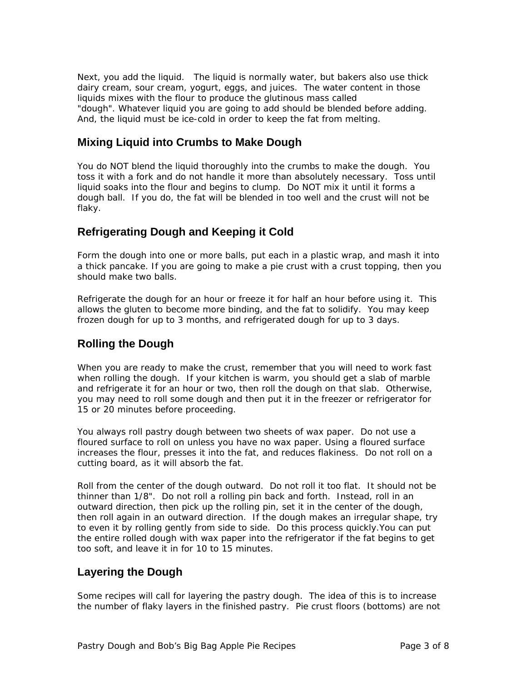Next, you add the liquid. The liquid is normally water, but bakers also use thick dairy cream, sour cream, yogurt, eggs, and juices. The water content in those liquids mixes with the flour to produce the glutinous mass called "dough". Whatever liquid you are going to add should be blended before adding. And, the liquid must be ice-cold in order to keep the fat from melting.

## **Mixing Liquid into Crumbs to Make Dough**

You do NOT blend the liquid thoroughly into the crumbs to make the dough. You toss it with a fork and do not handle it more than absolutely necessary. Toss until liquid soaks into the flour and begins to clump. Do NOT mix it until it forms a dough ball. If you do, the fat will be blended in too well and the crust will not be flaky.

## **Refrigerating Dough and Keeping it Cold**

Form the dough into one or more balls, put each in a plastic wrap, and mash it into a thick pancake. If you are going to make a pie crust with a crust topping, then you should make two balls.

Refrigerate the dough for an hour or freeze it for half an hour before using it. This allows the gluten to become more binding, and the fat to solidify. You may keep frozen dough for up to 3 months, and refrigerated dough for up to 3 days.

## **Rolling the Dough**

When you are ready to make the crust, remember that you will need to work fast when rolling the dough. If your kitchen is warm, you should get a slab of marble and refrigerate it for an hour or two, then roll the dough on that slab. Otherwise, you may need to roll some dough and then put it in the freezer or refrigerator for 15 or 20 minutes before proceeding.

You always roll pastry dough between two sheets of wax paper. Do not use a floured surface to roll on unless you have no wax paper. Using a floured surface increases the flour, presses it into the fat, and reduces flakiness. Do not roll on a cutting board, as it will absorb the fat.

Roll from the center of the dough outward. Do not roll it too flat. It should not be thinner than 1/8". Do not roll a rolling pin back and forth. Instead, roll in an outward direction, then pick up the rolling pin, set it in the center of the dough, then roll again in an outward direction. If the dough makes an irregular shape, try to even it by rolling gently from side to side. Do this process quickly.You can put the entire rolled dough with wax paper into the refrigerator if the fat begins to get too soft, and leave it in for 10 to 15 minutes.

## **Layering the Dough**

Some recipes will call for layering the pastry dough. The idea of this is to increase the number of flaky layers in the finished pastry. Pie crust floors (bottoms) are not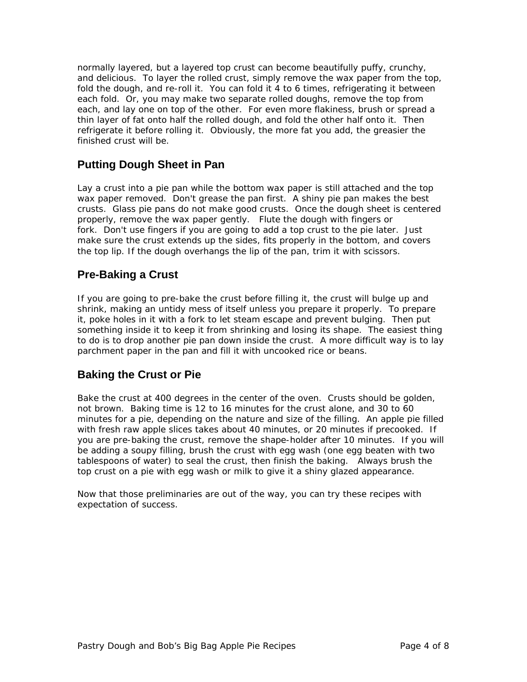normally layered, but a layered top crust can become beautifully puffy, crunchy, and delicious. To layer the rolled crust, simply remove the wax paper from the top, fold the dough, and re-roll it. You can fold it 4 to 6 times, refrigerating it between each fold. Or, you may make two separate rolled doughs, remove the top from each, and lay one on top of the other. For even more flakiness, brush or spread a thin layer of fat onto half the rolled dough, and fold the other half onto it. Then refrigerate it before rolling it. Obviously, the more fat you add, the greasier the finished crust will be.

## **Putting Dough Sheet in Pan**

Lay a crust into a pie pan while the bottom wax paper is still attached and the top wax paper removed. Don't grease the pan first. A shiny pie pan makes the best crusts. Glass pie pans do not make good crusts. Once the dough sheet is centered properly, remove the wax paper gently. Flute the dough with fingers or fork. Don't use fingers if you are going to add a top crust to the pie later. Just make sure the crust extends up the sides, fits properly in the bottom, and covers the top lip. If the dough overhangs the lip of the pan, trim it with scissors.

## **Pre-Baking a Crust**

If you are going to pre-bake the crust before filling it, the crust will bulge up and shrink, making an untidy mess of itself unless you prepare it properly. To prepare it, poke holes in it with a fork to let steam escape and prevent bulging. Then put something inside it to keep it from shrinking and losing its shape. The easiest thing to do is to drop another pie pan down inside the crust. A more difficult way is to lay parchment paper in the pan and fill it with uncooked rice or beans.

## **Baking the Crust or Pie**

Bake the crust at 400 degrees in the center of the oven. Crusts should be golden, not brown. Baking time is 12 to 16 minutes for the crust alone, and 30 to 60 minutes for a pie, depending on the nature and size of the filling. An apple pie filled with fresh raw apple slices takes about 40 minutes, or 20 minutes if precooked. If you are pre-baking the crust, remove the shape-holder after 10 minutes. If you will be adding a soupy filling, brush the crust with egg wash (one egg beaten with two tablespoons of water) to seal the crust, then finish the baking. Always brush the top crust on a pie with egg wash or milk to give it a shiny glazed appearance.

Now that those preliminaries are out of the way, you can try these recipes with expectation of success.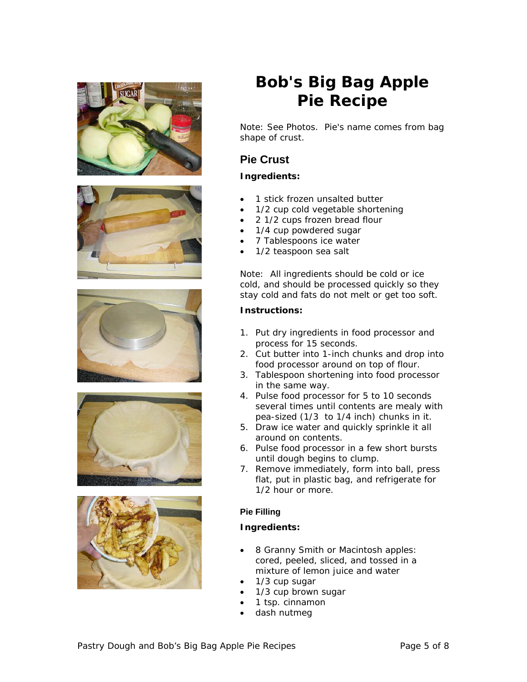









## **Bob's Big Bag Apple Pie Recipe**

Note: See Photos. Pie's name comes from bag shape of crust.

## **Pie Crust**

### **Ingredients:**

- 1 stick frozen unsalted butter
- 1/2 cup cold vegetable shortening
- 2 1/2 cups frozen bread flour
- 1/4 cup powdered sugar
- 7 Tablespoons ice water
- 1/2 teaspoon sea salt

Note: All ingredients should be cold or ice cold, and should be processed quickly so they stay cold and fats do not melt or get too soft.

#### **Instructions:**

- 1. Put dry ingredients in food processor and process for 15 seconds.
- 2. Cut butter into 1-inch chunks and drop into food processor around on top of flour.
- 3. Tablespoon shortening into food processor in the same way.
- 4. Pulse food processor for 5 to 10 seconds several times until contents are mealy with pea-sized (1/3 to 1/4 inch) chunks in it.
- 5. Draw ice water and quickly sprinkle it all around on contents.
- 6. Pulse food processor in a few short bursts until dough begins to clump.
- 7. Remove immediately, form into ball, press flat, put in plastic bag, and refrigerate for 1/2 hour or more.

#### **Pie Filling**

#### **Ingredients:**

- 8 Granny Smith or Macintosh apples: cored, peeled, sliced, and tossed in a mixture of lemon juice and water
- 1/3 cup sugar
- 1/3 cup brown sugar
- 1 tsp. cinnamon
- dash nutmeg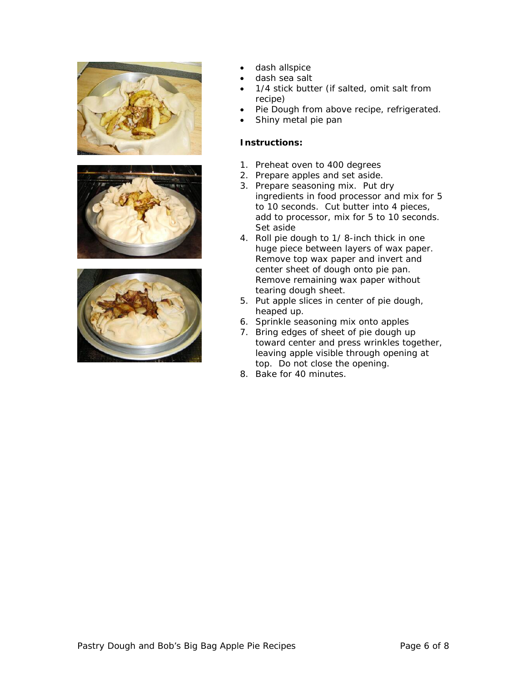





- dash allspice
- dash sea salt
- 1/4 stick butter (if salted, omit salt from recipe)
- Pie Dough from above recipe, refrigerated.
- Shiny metal pie pan

#### **Instructions:**

- 1. Preheat oven to 400 degrees
- 2. Prepare apples and set aside.
- 3. Prepare seasoning mix. Put dry ingredients in food processor and mix for 5 to 10 seconds. Cut butter into 4 pieces, add to processor, mix for 5 to 10 seconds. Set aside
- 4. Roll pie dough to 1/ 8-inch thick in one huge piece between layers of wax paper. Remove top wax paper and invert and center sheet of dough onto pie pan. Remove remaining wax paper without tearing dough sheet.
- 5. Put apple slices in center of pie dough, heaped up.
- 6. Sprinkle seasoning mix onto apples
- 7. Bring edges of sheet of pie dough up toward center and press wrinkles together, leaving apple visible through opening at top. Do not close the opening.
- 8. Bake for 40 minutes.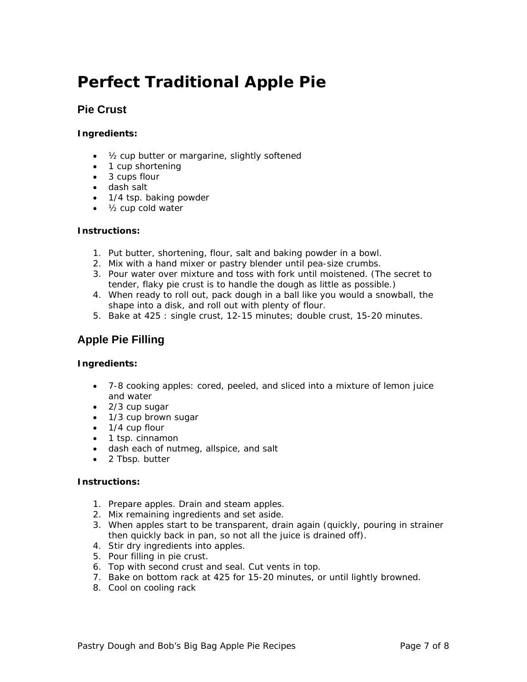## **Perfect Traditional Apple Pie**

## **Pie Crust**

#### **Ingredients:**

- ½ cup butter or margarine, slightly softened
- 1 cup shortening
- 3 cups flour
- dash salt
- 1/4 tsp. baking powder
- ½ cup cold water

#### **Instructions:**

- 1. Put butter, shortening, flour, salt and baking powder in a bowl.
- 2. Mix with a hand mixer or pastry blender until pea-size crumbs.
- 3. Pour water over mixture and toss with fork until moistened. (The secret to tender, flaky pie crust is to handle the dough as little as possible.)
- 4. When ready to roll out, pack dough in a ball like you would a snowball, the shape into a disk, and roll out with plenty of flour.
- 5. Bake at 425 : single crust, 12-15 minutes; double crust, 15-20 minutes.

## **Apple Pie Filling**

#### **Ingredients:**

- 7-8 cooking apples: cored, peeled, and sliced into a mixture of lemon juice and water
- 2/3 cup sugar
- 1/3 cup brown sugar
- 1/4 cup flour
- 1 tsp. cinnamon
- dash each of nutmeg, allspice, and salt
- 2 Tbsp. butter

#### **Instructions:**

- 1. Prepare apples. Drain and steam apples.
- 2. Mix remaining ingredients and set aside.
- 3. When apples start to be transparent, drain again (quickly, pouring in strainer then quickly back in pan, so not all the juice is drained off).
- 4. Stir dry ingredients into apples.
- 5. Pour filling in pie crust.
- 6. Top with second crust and seal. Cut vents in top.
- 7. Bake on bottom rack at 425 for 15-20 minutes, or until lightly browned.
- 8. Cool on cooling rack